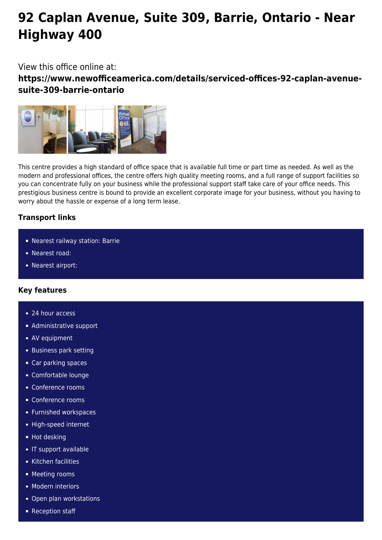# **92 Caplan Avenue, Suite 309, Barrie, Ontario - Near Highway 400**

## View this office online at:

**https://www.newofficeamerica.com/details/serviced-offices-92-caplan-avenuesuite-309-barrie-ontario**



This centre provides a high standard of office space that is available full time or part time as needed. As well as the modern and professional offices, the centre offers high quality meeting rooms, and a full range of support facilities so you can concentrate fully on your business while the professional support staff take care of your office needs. This prestigious business centre is bound to provide an excellent corporate image for your business, without you having to worry about the hassle or expense of a long term lease.

### **Transport links**

- Nearest railway station: Barrie
- Nearest road:
- Nearest airport:

### **Key features**

- 24 hour access
- **Administrative support**
- AV equipment
- **Business park setting**
- Car parking spaces
- Comfortable lounge
- Conference rooms
- Conference rooms
- **Furnished workspaces**
- High-speed internet
- **Hot desking**
- **IF support available**
- Kitchen facilities
- **Meeting rooms**
- **Modern interiors**
- Open plan workstations
- Reception staff